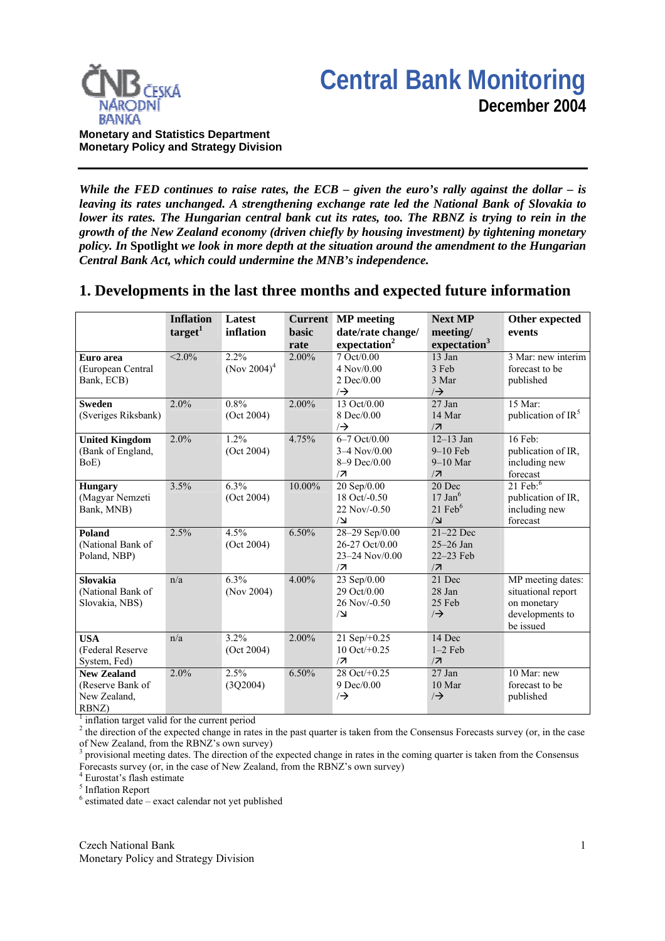

**Monetary and Statistics Department Monetary Policy and Strategy Division**

*While the FED continues to raise rates, the ECB – given the euro's rally against the dollar – is leaving its rates unchanged. A strengthening exchange rate led the National Bank of Slovakia to lower its rates. The Hungarian central bank cut its rates, too. The RBNZ is trying to rein in the growth of the New Zealand economy (driven chiefly by housing investment) by tightening monetary policy. In* **Spotlight** *we look in more depth at the situation around the amendment to the Hungarian Central Bank Act, which could undermine the MNB's independence.* 

## **1. Developments in the last three months and expected future information**

|                                                                 | <b>Inflation</b><br>target <sup>1</sup> | <b>Latest</b><br>inflation         | basic<br>rate | <b>Current</b> MP meeting<br>date/rate change/<br>expectation <sup>2</sup> | <b>Next MP</b><br>meeting/<br>expectation <sup>3</sup>   | Other expected<br>events                                                               |
|-----------------------------------------------------------------|-----------------------------------------|------------------------------------|---------------|----------------------------------------------------------------------------|----------------------------------------------------------|----------------------------------------------------------------------------------------|
| Euro area<br>(European Central<br>Bank, ECB)                    | $< 2.0\%$                               | 2.2%<br>(Nov $2004$ ) <sup>4</sup> | 2.00%         | 7 Oct/0.00<br>$4$ Nov/0.00<br>$2$ Dec $/0.00$<br>$\rightarrow$             | 13 Jan<br>3 Feb<br>3 Mar<br>$\rightarrow$                | 3 Mar: new interim<br>forecast to be<br>published                                      |
| <b>Sweden</b><br>(Sveriges Riksbank)                            | 2.0%                                    | 0.8%<br>(Oct 2004)                 | 2.00%         | 13 Oct/0.00<br>8 Dec/0.00<br>$\rightarrow$                                 | 27 Jan<br>14 Mar<br>/7                                   | 15 Mar:<br>publication of IR <sup>5</sup>                                              |
| <b>United Kingdom</b><br>(Bank of England,<br>BoE)              | 2.0%                                    | 1.2%<br>(Oct 2004)                 | 4.75%         | 6-7 Oct/0.00<br>$3-4$ Nov/0.00<br>8-9 Dec/0.00<br>/7                       | $12-13$ Jan<br>$9-10$ Feb<br>$9-10$ Mar<br>/7            | 16 Feb:<br>publication of IR,<br>including new<br>forecast                             |
| <b>Hungary</b><br>(Magyar Nemzeti<br>Bank, MNB)                 | 3.5%                                    | 6.3%<br>(Oct 2004)                 | 10.00%        | 20 Sep/0.00<br>18 Oct/-0.50<br>22 Nov/-0.50<br>$\Delta$                    | 20 Dec<br>$17$ Jan $6$<br>$21 \text{ Feb}^6$<br>$\Delta$ | $21$ Feb: $6$<br>publication of IR,<br>including new<br>forecast                       |
| Poland<br>(National Bank of<br>Poland, NBP)                     | 2.5%                                    | 4.5%<br>(Oct 2004)                 | 6.50%         | 28-29 Sep/0.00<br>26-27 Oct/0.00<br>23-24 Nov/0.00<br>/7                   | 21-22 Dec<br>$25-26$ Jan<br>22-23 Feb<br>/7              |                                                                                        |
| Slovakia<br>(National Bank of<br>Slovakia, NBS)                 | n/a                                     | 6.3%<br>(Nov 2004)                 | 4.00%         | 23 Sep/0.00<br>29 Oct/0.00<br>26 Nov/-0.50<br>$\Delta$                     | 21 Dec<br>28 Jan<br>25 Feb<br>$\rightarrow$              | MP meeting dates:<br>situational report<br>on monetary<br>developments to<br>be issued |
| <b>USA</b><br>(Federal Reserve<br>System, Fed)                  | n/a                                     | 3.2%<br>(Oct 2004)                 | 2.00%         | 21 Sep/+0.25<br>$10 \text{ Oct/}+0.25$<br>/7                               | 14 Dec<br>$1-2$ Feb<br>/7                                |                                                                                        |
| <b>New Zealand</b><br>(Reserve Bank of<br>New Zealand,<br>RBNZ) | 2.0%                                    | 2.5%<br>(3Q2004)                   | 6.50%         | $28 \text{ Oct/}+0.25$<br>9 Dec/0.00<br>$\rightarrow$                      | 27 Jan<br>10 Mar<br>$\rightarrow$                        | 10 Mar: new<br>forecast to be<br>published                                             |

<sup>1</sup> inflation target valid for the current period

 $2<sup>2</sup>$  the direction of the expected change in rates in the past quarter is taken from the Consensus Forecasts survey (or, in the case of New Zealand, from the RBNZ's own survey)

3 provisional meeting dates. The direction of the expected change in rates in the coming quarter is taken from the Consensus Forecasts survey (or, in the case of New Zealand, from the RBNZ's own survey)

4 Eurostat's flash estimate

<sup>5</sup> Inflation Report

 $6$  estimated date – exact calendar not yet published

Czech National Bank Monetary Policy and Strategy Division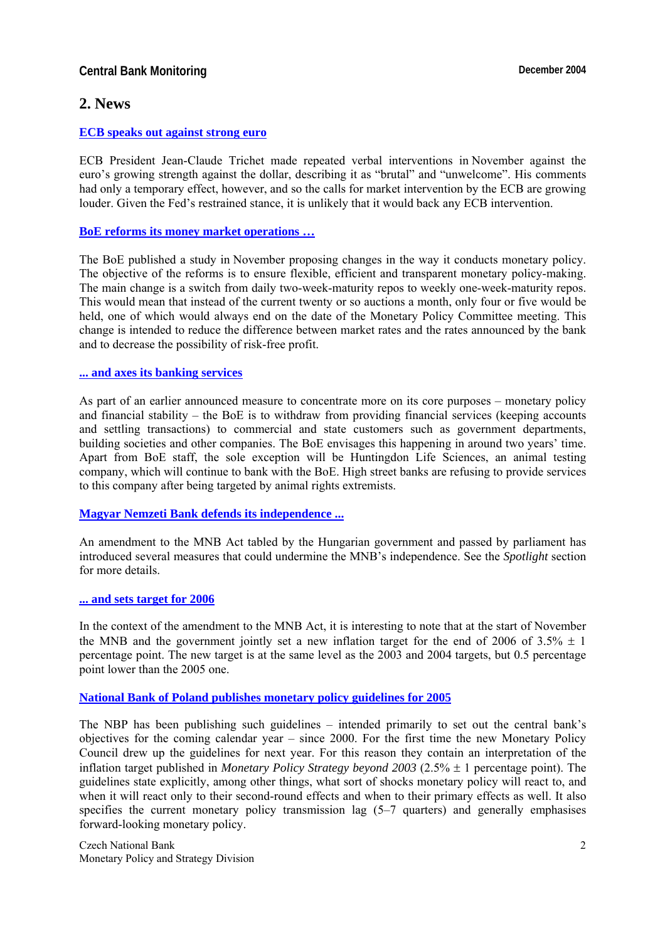## **Central Bank Monitoring Central Bank Monitoring Central Bank Monitoring Central Bank Monitoring Central Bank Monitoring Central Bank Monitoring Central Bank Monitoring Central Bank Monitoring Central Bank Monitoring Centr**

## **2. News**

#### **[ECB speaks out against strong euro](http://www.ecb.int/pub/pdf/other/041124_reply_to_mep_cirino_signeden.pdf)**

ECB President Jean-Claude Trichet made repeated verbal interventions in November against the euro's growing strength against the dollar, describing it as "brutal" and "unwelcome". His comments had only a temporary effect, however, and so the calls for market intervention by the ECB are growing louder. Given the Fed's restrained stance, it is unlikely that it would back any ECB intervention.

#### **[BoE reforms its money market operations …](http://www.bankofengland.co.uk/pressreleases/2004/134.htm)**

The BoE published a study in November proposing changes in the way it conducts monetary policy. The objective of the reforms is to ensure flexible, efficient and transparent monetary policy-making. The main change is a switch from daily two-week-maturity repos to weekly one-week-maturity repos. This would mean that instead of the current twenty or so auctions a month, only four or five would be held, one of which would always end on the date of the Monetary Policy Committee meeting. This change is intended to reduce the difference between market rates and the rates announced by the bank and to decrease the possibility of risk-free profit.

#### **[... and axes its banking services](http://www.centralbanking.com/)**

As part of an earlier announced measure to concentrate more on its core purposes – monetary policy and financial stability – the BoE is to withdraw from providing financial services (keeping accounts and settling transactions) to commercial and state customers such as government departments, building societies and other companies. The BoE envisages this happening in around two years' time. Apart from BoE staff, the sole exception will be Huntingdon Life Sciences, an animal testing company, which will continue to bank with the BoE. High street banks are refusing to provide services to this company after being targeted by animal rights extremists.

#### **[Magyar Nemzeti Bank defends its independence ...](http://english.mnb.hu/Resource.aspx?ResourceID=mnbfile&resourcename=kozl_20041124_1_en)**

An amendment to the MNB Act tabled by the Hungarian government and passed by parliament has introduced several measures that could undermine the MNB's independence. See the *Spotlight* section for more details.

#### **[... and sets target for 2006](http://english.mnb.hu/Engine.aspx?page=mnben_sajtokozlemenyek&ContentID=6217)**

In the context of the amendment to the MNB Act, it is interesting to note that at the start of November the MNB and the government jointly set a new inflation target for the end of 2006 of  $3.5\% \pm 1$ percentage point. The new target is at the same level as the 2003 and 2004 targets, but 0.5 percentage point lower than the 2005 one.

#### **[National Bank of Poland publishes monetary policy guidelines for 2005](http://www.nbp.pl/en/publikacje/o_polityce_pienieznej/zal2005a.pdf)**

The NBP has been publishing such guidelines – intended primarily to set out the central bank's objectives for the coming calendar year – since 2000. For the first time the new Monetary Policy Council drew up the guidelines for next year. For this reason they contain an interpretation of the inflation target published in *Monetary Policy Strategy beyond 2003* (2.5% ± 1 percentage point). The guidelines state explicitly, among other things, what sort of shocks monetary policy will react to, and when it will react only to their second-round effects and when to their primary effects as well. It also specifies the current monetary policy transmission lag  $(5-7)$  quarters) and generally emphasises forward-looking monetary policy.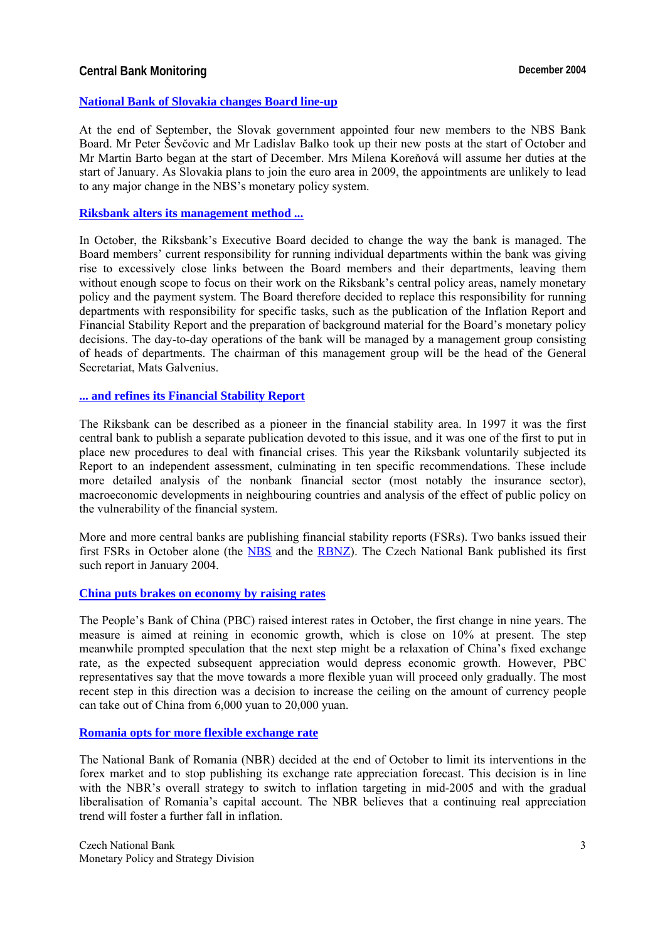## **Central Bank Monitoring Central Bank Monitoring Central Bank Monitoring Central Bank Monitoring Central Bank Monitoring Central Bank Monitoring Central Bank Monitoring Central Bank Monitoring Central Bank Monitoring Centr**

#### **[National Bank of Slovakia changes Board line-up](http://www.nbs.sk/PRESS/PR041201.HTM)**

At the end of September, the Slovak government appointed four new members to the NBS Bank Board. Mr Peter Ševčovic and Mr Ladislav Balko took up their new posts at the start of October and Mr Martin Barto began at the start of December. Mrs Milena Koreňová will assume her duties at the start of January. As Slovakia plans to join the euro area in 2009, the appointments are unlikely to lead to any major change in the NBS's monetary policy system.

#### **[Riksbank alters its management method ...](http://www.riksbank.com/templates/Page.aspx?id=14274)**

In October, the Riksbank's Executive Board decided to change the way the bank is managed. The Board members' current responsibility for running individual departments within the bank was giving rise to excessively close links between the Board members and their departments, leaving them without enough scope to focus on their work on the Riksbank's central policy areas, namely monetary policy and the payment system. The Board therefore decided to replace this responsibility for running departments with responsibility for specific tasks, such as the publication of the Inflation Report and Financial Stability Report and the preparation of background material for the Board's monetary policy decisions. The day-to-day operations of the bank will be managed by a management group consisting of heads of departments. The chairman of this management group will be the head of the General Secretariat, Mats Galvenius.

#### **[... and refines its Financial Stability Report](http://www.riksbank.com/pagefolders/17075/ER04_3.pdf)**

The Riksbank can be described as a pioneer in the financial stability area. In 1997 it was the first central bank to publish a separate publication devoted to this issue, and it was one of the first to put in place new procedures to deal with financial crises. This year the Riksbank voluntarily subjected its Report to an independent assessment, culminating in ten specific recommendations. These include more detailed analysis of the nonbank financial sector (most notably the insurance sector), macroeconomic developments in neighbouring countries and analysis of the effect of public policy on the vulnerability of the financial system.

More and more central banks are publishing financial stability reports (FSRs). Two banks issued their first FSRs in October alone (the [NBS](http://www.nbs.sk/ZAKLNBS/SFS2003A.PDF) and th[e RBNZ\).](http://www.rbnz.govt.nz/finstab/fsreport/fsr_oct2004.pdf) The Czech National Bank published its first such report in January 2004.

#### **[China puts brakes on economy by raising rates](http://www.pbc.gov.cn/english//detail.asp?col=6400&ID=453)**

The People's Bank of China (PBC) raised interest rates in October, the first change in nine years. The measure is aimed at reining in economic growth, which is close on 10% at present. The step meanwhile prompted speculation that the next step might be a relaxation of China's fixed exchange rate, as the expected subsequent appreciation would depress economic growth. However, PBC representatives say that the move towards a more flexible yuan will proceed only gradually. The most recent step in this direction was a decision to increase the ceiling on the amount of currency people can take out of China from 6,000 yuan to 20,000 yuan.

#### **[Romania opts for more flexible exchange rate](http://www.bnro.ro/En/Press/E20041102dob.htm)**

The National Bank of Romania (NBR) decided at the end of October to limit its interventions in the forex market and to stop publishing its exchange rate appreciation forecast. This decision is in line with the NBR's overall strategy to switch to inflation targeting in mid-2005 and with the gradual liberalisation of Romania's capital account. The NBR believes that a continuing real appreciation trend will foster a further fall in inflation.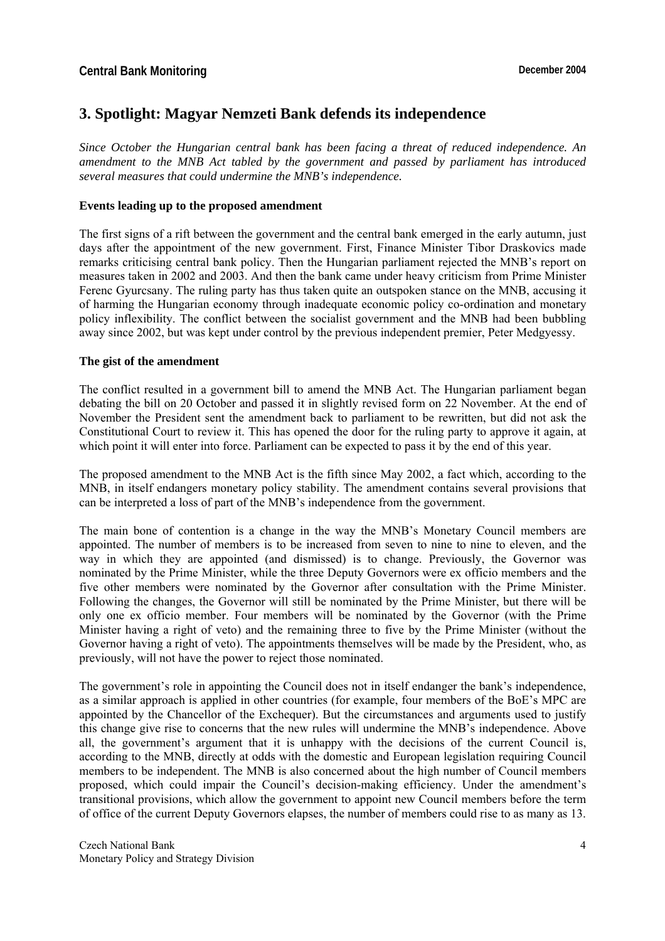# **3. Spotlight: Magyar Nemzeti Bank defends its independence**

*Since October the Hungarian central bank has been facing a threat of reduced independence. An amendment to the MNB Act tabled by the government and passed by parliament has introduced several measures that could undermine the MNB's independence.* 

### **Events leading up to the proposed amendment**

The first signs of a rift between the government and the central bank emerged in the early autumn, just days after the appointment of the new government. First, Finance Minister Tibor Draskovics made remarks criticising central bank policy. Then the Hungarian parliament rejected the MNB's report on measures taken in 2002 and 2003. And then the bank came under heavy criticism from Prime Minister Ferenc Gyurcsany. The ruling party has thus taken quite an outspoken stance on the MNB, accusing it of harming the Hungarian economy through inadequate economic policy co-ordination and monetary policy inflexibility. The conflict between the socialist government and the MNB had been bubbling away since 2002, but was kept under control by the previous independent premier, Peter Medgyessy.

### **The gist of the amendment**

The conflict resulted in a government bill to amend the MNB Act. The Hungarian parliament began debating the bill on 20 October and passed it in slightly revised form on 22 November. At the end of November the President sent the amendment back to parliament to be rewritten, but did not ask the Constitutional Court to review it. This has opened the door for the ruling party to approve it again, at which point it will enter into force. Parliament can be expected to pass it by the end of this year.

The proposed amendment to the MNB Act is the fifth since May 2002, a fact which, according to the MNB, in itself endangers monetary policy stability. The amendment contains several provisions that can be interpreted a loss of part of the MNB's independence from the government.

The main bone of contention is a change in the way the MNB's Monetary Council members are appointed. The number of members is to be increased from seven to nine to nine to eleven, and the way in which they are appointed (and dismissed) is to change. Previously, the Governor was nominated by the Prime Minister, while the three Deputy Governors were ex officio members and the five other members were nominated by the Governor after consultation with the Prime Minister. Following the changes, the Governor will still be nominated by the Prime Minister, but there will be only one ex officio member. Four members will be nominated by the Governor (with the Prime Minister having a right of veto) and the remaining three to five by the Prime Minister (without the Governor having a right of veto). The appointments themselves will be made by the President, who, as previously, will not have the power to reject those nominated.

The government's role in appointing the Council does not in itself endanger the bank's independence, as a similar approach is applied in other countries (for example, four members of the BoE's MPC are appointed by the Chancellor of the Exchequer). But the circumstances and arguments used to justify this change give rise to concerns that the new rules will undermine the MNB's independence. Above all, the government's argument that it is unhappy with the decisions of the current Council is, according to the MNB, directly at odds with the domestic and European legislation requiring Council members to be independent. The MNB is also concerned about the high number of Council members proposed, which could impair the Council's decision-making efficiency. Under the amendment's transitional provisions, which allow the government to appoint new Council members before the term of office of the current Deputy Governors elapses, the number of members could rise to as many as 13.